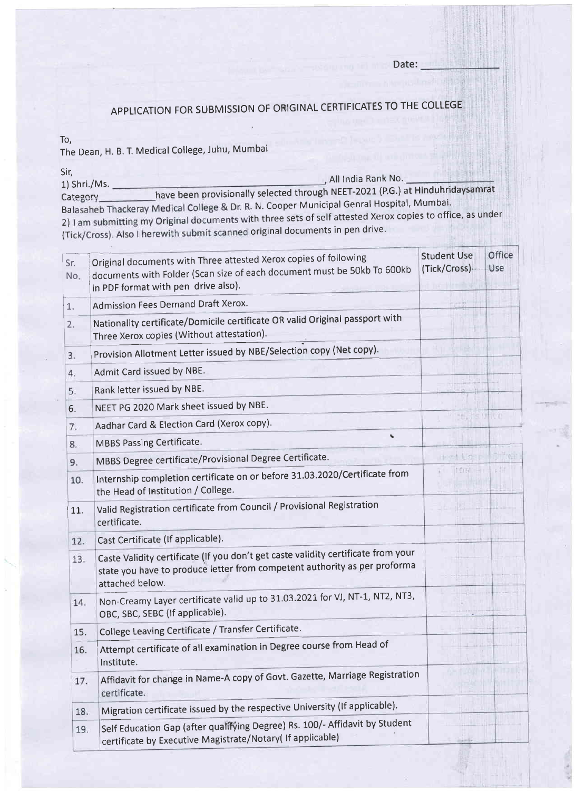#### Date:

# APPLICATION FOR SUBMISSION OF ORIGINAL CERTIFICATES TO THE COLLEGE

To,

The Dean, H. B. T. Medical College, Juhu, Mumbai

Sir, 1)Shri./Ms. All lndia Rank No. external category and the basic have been provisionally selected through NEET-2021 (P.G.) at Hinduhridaysamrat<br>Category extension have been provisionally selected through NEET-2021 (P.G.) at Hinduhridaysamrat Lategory<br>Balasaheb Thackeray Medical College & Dr. R. N. Cooper Municipal Genral Hospital, Mumbai 2) I am submitting my Original documents with three sets of self attested Xerox copies to office, as under (Tick/Cross). Also I herewith submit scanned original documents in pen drive.

| Sr.<br>No. | Original documents with Three attested Xerox copies of following<br>documents with Folder (Scan size of each document must be 50kb To 600kb<br>in PDF format with pen drive also). | <b>Student Use</b><br>(Tick/Cross)- | Office<br>Use |
|------------|------------------------------------------------------------------------------------------------------------------------------------------------------------------------------------|-------------------------------------|---------------|
| 1.         | Admission Fees Demand Draft Xerox.                                                                                                                                                 |                                     |               |
| 2.         | Nationality certificate/Domicile certificate OR valid Original passport with<br>Three Xerox copies (Without attestation).                                                          |                                     |               |
| 3.         | Provision Allotment Letter issued by NBE/Selection copy (Net copy).                                                                                                                |                                     |               |
| 4.         | Admit Card issued by NBE.                                                                                                                                                          |                                     |               |
| 5.         | Rank letter issued by NBE.                                                                                                                                                         |                                     |               |
| 6.         | NEET PG 2020 Mark sheet issued by NBE.                                                                                                                                             |                                     |               |
| 7.         | Aadhar Card & Election Card (Xerox copy).                                                                                                                                          | the fishing                         |               |
| 8.         | F<br><b>MBBS Passing Certificate.</b>                                                                                                                                              |                                     |               |
| 9.         | MBBS Degree certificate/Provisional Degree Certificate.                                                                                                                            | Heart Liser                         |               |
| 10.        | Internship completion certificate on or before 31.03.2020/Certificate from<br>the Head of Institution / College.                                                                   | 14mm Him                            |               |
| 11.        | Valid Registration certificate from Council / Provisional Registration<br>certificate.                                                                                             |                                     |               |
| 12.        | Cast Certificate (If applicable).                                                                                                                                                  |                                     |               |
| 13.        | Caste Validity certificate (If you don't get caste validity certificate from your<br>state you have to produce letter from competent authority as per proforma<br>attached below.  |                                     |               |
| 14.        | Non-Creamy Layer certificate valid up to 31.03.2021 for VJ, NT-1, NT2, NT3,<br>OBC, SBC, SEBC (If applicable).                                                                     |                                     |               |
| 15.        | College Leaving Certificate / Transfer Certificate.                                                                                                                                |                                     |               |
| 16.        | Attempt certificate of all examination in Degree course from Head of<br>Institute.                                                                                                 |                                     |               |
| 17.        | Affidavit for change in Name-A copy of Govt. Gazette, Marriage Registration<br>certificate.                                                                                        |                                     |               |
| 18.        | Migration certificate issued by the respective University (If applicable).                                                                                                         |                                     |               |
| 19.        | Self Education Gap (after qualifying Degree) Rs. 100/- Affidavit by Student<br>certificate by Executive Magistrate/Notary( If applicable)                                          |                                     |               |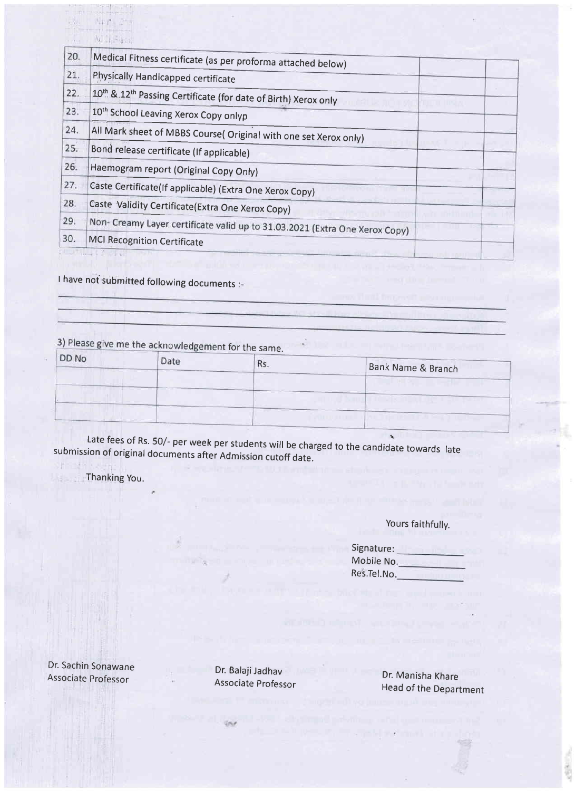| 20. | Medical Fitness certificate (as per proforma attached below)                |  |
|-----|-----------------------------------------------------------------------------|--|
| 21. | Physically Handicapped certificate                                          |  |
| 22. | 10th & 12th Passing Certificate (for date of Birth) Xerox only              |  |
| 23. | 10 <sup>th</sup> School Leaving Xerox Copy onlyp                            |  |
| 24. | All Mark sheet of MBBS Course( Original with one set Xerox only)            |  |
| 25. | Bond release certificate (If applicable)                                    |  |
| 26. | Haemogram report (Original Copy Only)                                       |  |
| 27. | Caste Certificate(If applicable) (Extra One Xerox Copy)                     |  |
| 28. | Caste Validity Certificate(Extra One Xerox Copy)                            |  |
| 29. | Non- Creamy Layer certificate valid up to 31.03.2021 (Extra One Xerox Copy) |  |
| 30. | <b>MCI Recognition Certificate</b>                                          |  |
|     |                                                                             |  |

I have not submitted following documents :-

 $4r + 2$  $M =$ 

3) Please give me the acknowledgement for the same.

| DD No | Date |     |                    |
|-------|------|-----|--------------------|
|       |      | ĸs. | Bank Name & Branch |
|       |      |     |                    |
|       |      |     |                    |
|       |      |     |                    |
|       |      |     |                    |
|       |      |     |                    |

submission of original documents after Admission cutoff date. Late fees of Rs. 50/- per week per students will be charged to the candidate towards late

Thanking You.

#### Yours faithfully.

| Signature:  |  |
|-------------|--|
| Mobile No.  |  |
| Res.Tel.No. |  |

Dr. Sachin Sonawane Associate professor

Dr. Balaji Jadhav Associate professor

نحا

Dr. Manisha Khare Head of the Department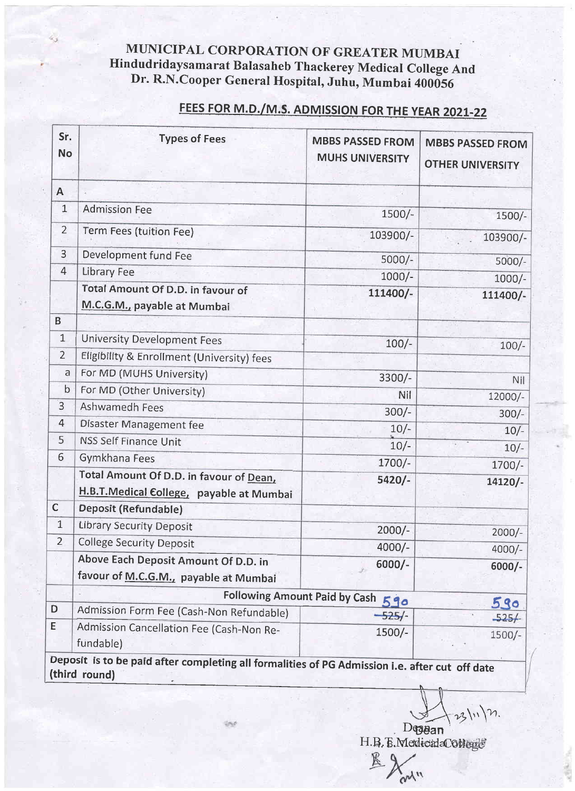### MUNICIPAL CORPORATION OF GREATER MUMBAI Hindudridaysamarat Balasaheb rhackerey Medical college And Dr. R.N.Cooper General Hospital, Juhu, Mumbai 400056

# FEES FOR M.D./M.S. ADMISSION FOR THE YEAR 2021-22

| Sr.<br><b>No</b> | <b>Types of Fees</b>                                                                                            | <b>MBBS PASSED FROM</b><br><b>MUHS UNIVERSITY</b> | <b>MBBS PASSED FROM</b><br><b>OTHER UNIVERSITY</b> |
|------------------|-----------------------------------------------------------------------------------------------------------------|---------------------------------------------------|----------------------------------------------------|
| $\mathsf{A}$     |                                                                                                                 |                                                   |                                                    |
| $\mathbf{1}$     | <b>Admission Fee</b>                                                                                            | 1500/-                                            | $1500/-$                                           |
| $\overline{2}$   | Term Fees (tuition Fee)                                                                                         | 103900/-                                          | 103900/-                                           |
| $\overline{3}$   | Development fund Fee                                                                                            | $5000/-$                                          | $5000/-$                                           |
| 4                | <b>Library Fee</b>                                                                                              | $1000/-$                                          |                                                    |
|                  | Total Amount Of D.D. in favour of<br>M.C.G.M., payable at Mumbai                                                | 111400/-                                          | $1000/-$<br>111400/-                               |
| B                |                                                                                                                 |                                                   |                                                    |
| $\mathbf{1}$     | <b>University Development Fees</b>                                                                              | $100/-$                                           | $100/-$                                            |
| $\overline{2}$   | Eligibility & Enrollment (University) fees                                                                      |                                                   |                                                    |
| a                | For MD (MUHS University)                                                                                        | 3300/-                                            | Nil                                                |
| $\mathsf b$      | For MD (Other University)                                                                                       | Nil                                               | 12000/-                                            |
| $\overline{3}$   | Ashwamedh Fees                                                                                                  | $300/-$                                           | $300/-$                                            |
| 4                | Disaster Management fee                                                                                         | $10/-$                                            | $10/-$                                             |
| 5                | <b>NSS Self Finance Unit</b>                                                                                    | $10/-$                                            | $10/-$                                             |
| 6                | Gymkhana Fees                                                                                                   | 1700/-                                            | 1700/-                                             |
|                  | Total Amount Of D.D. in favour of Dean,<br>H.B.T.Medical College, payable at Mumbai                             | $5420/-$                                          | 14120/-                                            |
| $\mathsf{C}$     | Deposit (Refundable)                                                                                            |                                                   |                                                    |
| 1                | <b>Library Security Deposit</b>                                                                                 | $2000/-$                                          | $2000/-$                                           |
| $\overline{2}$   | <b>College Security Deposit</b>                                                                                 | 4000/-                                            | $4000/-$                                           |
|                  | Above Each Deposit Amount Of D.D. in<br>favour of M.C.G.M., payable at Mumbai                                   | $6000/-$                                          | $6000/-$                                           |
|                  |                                                                                                                 | Following Amount Paid by Cash 590                 |                                                    |
| D                | Admission Form Fee (Cash-Non Refundable)                                                                        | $-525/$                                           | 590<br>$-525/$                                     |
| Ε                | Admission Cancellation Fee (Cash-Non Re-<br>fundable)                                                           | 1500/-                                            | 1500/-                                             |
|                  | Deposit is to be paid after completing all formalities of PG Admission i.e. after cut off date<br>(third round) |                                                   |                                                    |

 $73\ln\,2$ .  $D$ qa $B$ an

^

H.B.B.MedicadaC0b

ry'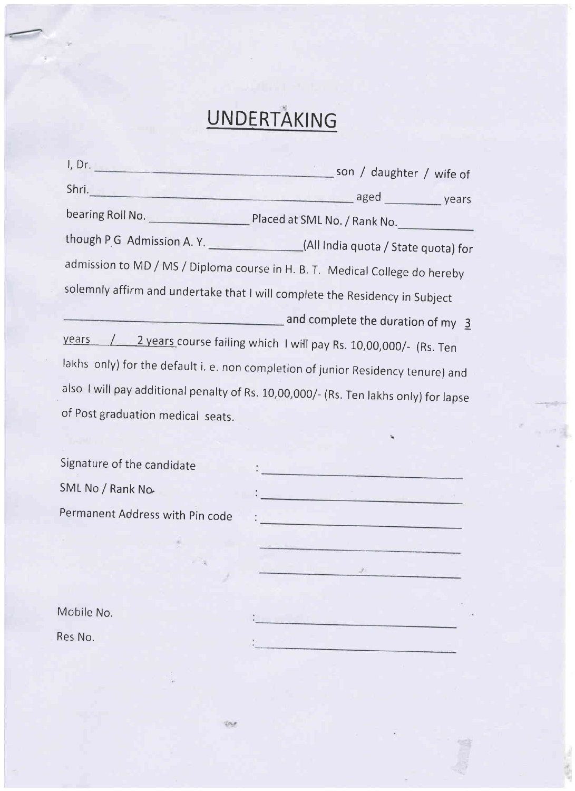# UNDERTAKING

|                                   | Shri. vears vears aged vears vears                                                                                                                                                                                                   |
|-----------------------------------|--------------------------------------------------------------------------------------------------------------------------------------------------------------------------------------------------------------------------------------|
|                                   |                                                                                                                                                                                                                                      |
|                                   | though P G Admission A. Y. ________________(All India quota / State quota) for                                                                                                                                                       |
|                                   | admission to MD / MS / Diploma course in H. B. T. Medical College do hereby                                                                                                                                                          |
|                                   | solemnly affirm and undertake that I will complete the Residency in Subject                                                                                                                                                          |
|                                   | and complete the duration of my 3                                                                                                                                                                                                    |
| years                             | 2 years course failing which I will pay Rs. 10,00,000/- (Rs. Ten                                                                                                                                                                     |
|                                   | lakhs only) for the default i. e. non completion of junior Residency tenure) and                                                                                                                                                     |
|                                   | also I will pay additional penalty of Rs. 10,00,000/- (Rs. Ten lakhs only) for lapse                                                                                                                                                 |
| of Post graduation medical seats. |                                                                                                                                                                                                                                      |
|                                   |                                                                                                                                                                                                                                      |
| Signature of the candidate        | وأنباه والمستستحدث والمتناول                                                                                                                                                                                                         |
| SML No / Rank No.                 | <u>e e constituito de la constitución de la constitución de la constitución de la constitución de la constitución </u>                                                                                                               |
| Permanent Address with Pin code   | <u> Andreas III (1994), component est est e</u>                                                                                                                                                                                      |
|                                   | <u> 1980 - Johann Johann Johann Johann Johann Johann Johann Johann Johann Johann Johann Johann Johann Johann Johann Johann Johann Johann Johann Johann Johann Johann Johann Johann Johann Johann Johann Johann Johann Johann Joh</u> |
|                                   | $\mathcal{L}$ and $\mathcal{L}$                                                                                                                                                                                                      |
| Mobile No.                        |                                                                                                                                                                                                                                      |

Res No,

**TAX**